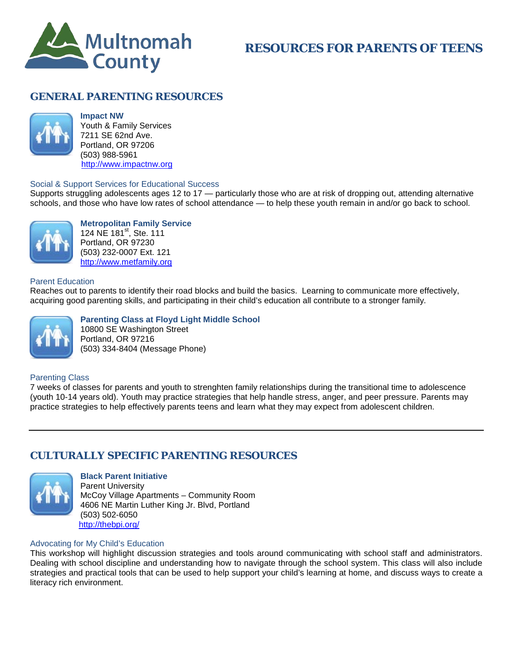

# **RESOURCES FOR PARENTS OF TEENS**

## **GENERAL PARENTING RESOURCES**



**Impact NW** Youth & Family Services 7211 SE 62nd Ave. Portland, OR 97206 (503) 988-5961 [http://www.impactnw.org](http://www.impactnw.org/)

### Social & Support Services for Educational Success

Supports struggling adolescents ages 12 to 17 — particularly those who are at risk of dropping out, attending alternative schools, and those who have low rates of school attendance — to help these youth remain in and/or go back to school.



**Metropolitan Family Service** 124 NE 181<sup>st</sup>, Ste. 111

Portland, OR 97230 (503) 232-0007 Ext. 121 [http://www.metfamily.org](http://www.metfamily.org/)

#### Parent Education

Reaches out to parents to identify their road blocks and build the basics. Learning to communicate more effectively, acquiring good parenting skills, and participating in their child's education all contribute to a stronger family.



#### **Parenting Class at Floyd Light Middle School** 10800 SE Washington Street Portland, OR 97216 (503) 334-8404 (Message Phone)

#### Parenting Class

7 weeks of classes for parents and youth to strenghten family relationships during the transitional time to adolescence (youth 10-14 years old). Youth may practice strategies that help handle stress, anger, and peer pressure. Parents may practice strategies to help effectively parents teens and learn what they may expect from adolescent children.

## **CULTURALLY SPECIFIC PARENTING RESOURCES**



### **Black Parent Initiative**

Parent University McCoy Village Apartments – Community Room 4606 NE Martin Luther King Jr. Blvd, Portland (503) 502-6050 <http://thebpi.org/>

#### Advocating for My Child's Education

This workshop will highlight discussion strategies and tools around communicating with school staff and administrators. Dealing with school discipline and understanding how to navigate through the school system. This class will also include strategies and practical tools that can be used to help support your child's learning at home, and discuss ways to create a literacy rich environment.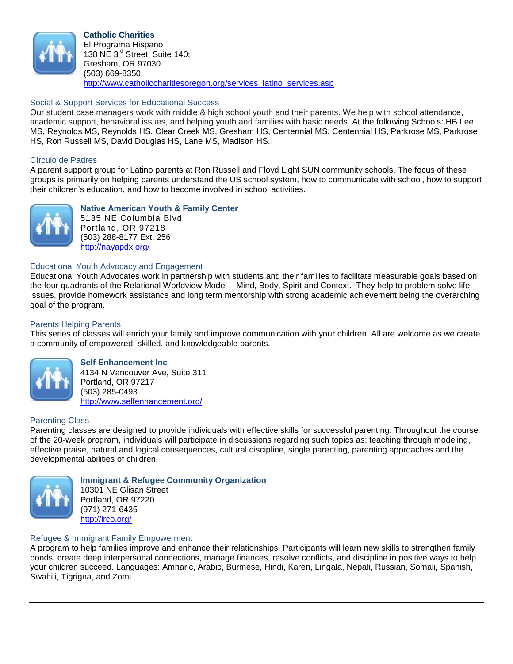

### Social & Support Services for Educational Success

Our student case managers work with middle & high school youth and their parents. We help with school attendance, academic support, behavioral issues, and helping youth and families with basic needs. At the following Schools: HB Lee MS, Reynolds MS, Reynolds HS, Clear Creek MS, Gresham HS, Centennial MS, Centennial HS, Parkrose MS, Parkrose HS, Ron Russell MS, David Douglas HS, Lane MS, Madison HS.

### Círculo de Padres

A parent support group for Latino parents at Ron Russell and Floyd Light SUN community schools. The focus of these groups is primarily on helping parents understand the US school system, how to communicate with school, how to support their children's education, and how to become involved in school activities.



**Native American Youth & Family Center**

5135 NE Columbia Blvd Portland, OR 97218 (503) 288-8177 Ext. 256 <http://nayapdx.org/>

#### Educational Youth Advocacy and Engagement

Educational Youth Advocates work in partnership with students and their families to facilitate measurable goals based on the four quadrants of the Relational Worldview Model – Mind, Body, Spirit and Context. They help to problem solve life issues, provide homework assistance and long term mentorship with strong academic achievement being the overarching goal of the program.

### Parents Helping Parents

This series of classes will enrich your family and improve communication with your children. All are welcome as we create a community of empowered, skilled, and knowledgeable parents.



**Self Enhancement Inc** 4134 N Vancouver Ave, Suite 311 Portland, OR 97217 (503) 285-0493 <http://www.selfenhancement.org/>

### Parenting Class

Parenting classes are designed to provide individuals with effective skills for successful parenting. Throughout the course of the 20-week program, individuals will participate in discussions regarding such topics as: teaching through modeling, effective praise, natural and logical consequences, cultural discipline, single parenting, parenting approaches and the developmental abilities of children.



**Immigrant & Refugee Community Organization**

10301 NE Glisan Street Portland, OR 97220 (971) 271-6435 <http://irco.org/>

### Refugee & Immigrant Family Empowerment

A program to help families improve and enhance their relationships. Participants will learn new skills to strengthen family bonds, create deep interpersonal connections, manage finances, resolve conflicts, and discipline in positive ways to help your children succeed. Languages: Amharic, Arabic, Burmese, Hindi, Karen, Lingala, Nepali, Russian, Somali, Spanish, Swahili, Tigrigna, and Zomi.